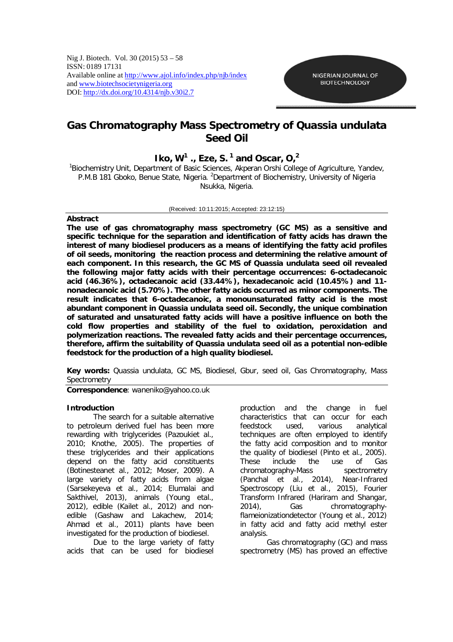Nig J. Biotech. Vol. 30 (2015) 53 – 58 ISSN: 0189 17131 Available online at http://www.ajol.info/index.php/njb/index and www.biotechsocietynigeria.org DOI: http://dx.doi.org/10.4314/njb.v30i2.7

# **Gas Chromatography Mass Spectrometry of** *Quassia undulata* **Seed Oil**

# **Iko, W<sup>1</sup>, Eze, S.**<sup>1</sup> and Oscar, O,<sup>2</sup>

<sup>1</sup>Biochemistry Unit, Department of Basic Sciences, Akperan Orshi College of Agriculture, Yandev, P.M.B 181 Gboko, Benue State, Nigeria. <sup>2</sup>Department of Biochemistry, University of Nigeria Nsukka, Nigeria.

### (Received: 10:11:2015; Accepted: 23:12:15)

## **Abstract**

**The use of gas chromatography mass spectrometry (GC MS) as a sensitive and specific technique for the separation and identification of fatty acids has drawn the interest of many biodiesel producers as a means of identifying the fatty acid profiles of oil seeds, monitoring the reaction process and determining the relative amount of each component. In this research, the GC MS of** *Quassia undulata* **seed oil revealed the following major fatty acids with their percentage occurrences: 6-octadecanoic acid (46.36%), octadecanoic acid (33.44%), hexadecanoic acid (10.45%) and 11 nonadecanoic acid (5.70%). The other fatty acids occurred as minor components. The result indicates that 6-octadecanoic, a monounsaturated fatty acid is the most abundant component in** *Quassia undulata* **seed oil. Secondly, the unique combination of saturated and unsaturated fatty acids will have a positive influence on both the cold flow properties and stability of the fuel to oxidation, peroxidation and polymerization reactions. The revealed fatty acids and their percentage occurrences, therefore, affirm the suitability of** *Quassia undulata* **seed oil as a potential non-edible feedstock for the production of a high quality biodiesel.**

**Key words:** *Quassia undulata*, GC MS, Biodiesel, Gbur, seed oil, Gas Chromatography, Mass **Spectrometry** 

*Correspondence: waneniko@yahoo.co.uk*

## **Introduction**

The search for a suitable alternative to petroleum derived fuel has been more rewarding with triglycerides (Pazouki*et al*., 2010; Knothe, 2005). The properties of these triglycerides and their applications depend on the fatty acid constituents (Botinestean*et al*., 2012; Moser, 2009). A large variety of fatty acids from algae (Sarsekeyeva *et al*., 2014; Elumalai and Sakthivel, 2013), animals (Young *etal*., 2012), edible (Kail*et al.*, 2012) and nonedible (Gashaw and Lakachew, 2014; Ahmad *et al*., 2011) plants have been investigated for the production of biodiesel.

Due to the large variety of fatty acids that can be used for biodiesel

production and the change in fuel characteristics that can occur for each feedstock used, various analytical techniques are often employed to identify the fatty acid composition and to monitor the quality of biodiesel (Pinto *et al*., 2005). These include the use of Gas chromatography-Mass spectrometry (Panchal *et al*., 2014), Near-Infrared Spectroscopy (Liu *et al*., 2015), Fourier Transform Infrared (Hariram and Shangar, 2014), Gas chromatographyflameionizationdetector (Young *et al*., 2012) in fatty acid and fatty acid methyl ester analysis.

Gas chromatography (GC) and mass spectrometry (MS) has proved an effective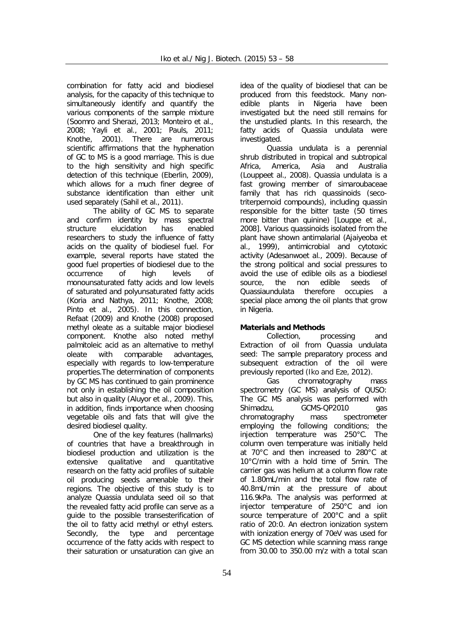combination for fatty acid and biodiesel analysis, for the capacity of this technique to simultaneously identify and quantify the various components of the sample mixture (Soomro and Sherazi, 2013; Monteiro *et al*., 2008; Yayli *et al*., 2001; Pauls, 2011; Knothe, 2001). There are numerous scientific affirmations that the hyphenation of GC to MS is a good marriage. This is due to the high sensitivity and high specific detection of this technique (Eberlin, 2009), which allows for a much finer degree of substance identification than either unit used separately (Sahil *et al*., 2011).

The ability of GC MS to separate and confirm identity by mass spectral structure elucidation has enabled researchers to study the influence of fatty acids on the quality of biodiesel fuel. For example, several reports have stated the good fuel properties of biodiesel due to the occurrence of high levels of monounsaturated fatty acids and low levels of saturated and polyunsaturated fatty acids (Koria and Nathya, 2011; Knothe, 2008; Pinto *et al*., 2005). In this connection, Refaat (2009) and Knothe (2008) proposed methyl oleate as a suitable major biodiesel component. Knothe also noted methyl palmitoleic acid as an alternative to methyl oleate with comparable advantages, especially with regards to low-temperature properties.The determination of components by GC MS has continued to gain prominence not only in establishing the oil composition but also in quality (Aluyor *et al*., 2009). This, in addition, finds importance when choosing vegetable oils and fats that will give the desired biodiesel quality.

One of the key features (hallmarks) of countries that have a breakthrough in biodiesel production and utilization is the extensive qualitative and quantitative research on the fatty acid profiles of suitable oil producing seeds amenable to their regions. The objective of this study is to analyze *Quassia undulata* seed oil so that the revealed fatty acid profile can serve as a guide to the possible transesterification of the oil to fatty acid methyl or ethyl esters. Secondly, the type and percentage occurrence of the fatty acids with respect to their saturation or unsaturation can give an

idea of the quality of biodiesel that can be produced from this feedstock. Many nonedible plants in Nigeria have been investigated but the need still remains for the unstudied plants. In this research, the fatty acids of *Quassia undulata* were investigated.

*Quassia undulata* is a perennial shrub distributed in tropical and subtropical Africa, America, Asia and Australia (Louppe*et al.,* 2008). *Quassia undulata* is a fast growing member of simaroubaceae family that has rich quassinoids (secotriterpernoid compounds), including quassin responsible for the bitter taste (50 times more bitter than quinine) [Louppe *et al.,*  2008]*.* Various quassinoids isolated from the plant have shown antimalarial (Ajaiyeoba *et al.,* 1999), antimicrobial and cytotoxic activity (Adesanwo*et al., 2009*). Because of the strong political and social pressures to avoid the use of edible oils as a biodiesel source, the non edible seeds of *Quassiaundulata* therefore occupies a special place among the oil plants that grow in Nigeria.

# **Materials and Methods**

*Collection, processing and Extraction of oil from Quassia undulata seed:* The sample preparatory process and subsequent extraction of the oil were previously reported (Iko and Eze, 2012).

*Gas chromatography mass spectrometry (GC MS) analysis of QUSO:* The GC MS analysis was performed with Shimadzu, GCMS-QP2010 gas chromatography mass spectrometer employing the following conditions; the injection temperature was 250°C. The column oven temperature was initially held at 70°C and then increased to 280°C at 10°C/min with a hold time of 5min. The carrier gas was helium at a column flow rate of 1.80mL/min and the total flow rate of 40.8mL/min at the pressure of about 116.9kPa. The analysis was performed at injector temperature of 250°C and ion source temperature of 200°C and a split ratio of 20:0. An electron ionization system with ionization energy of 70eV was used for GC MS detection while scanning mass range from 30.00 to 350.00 m/z with a total scan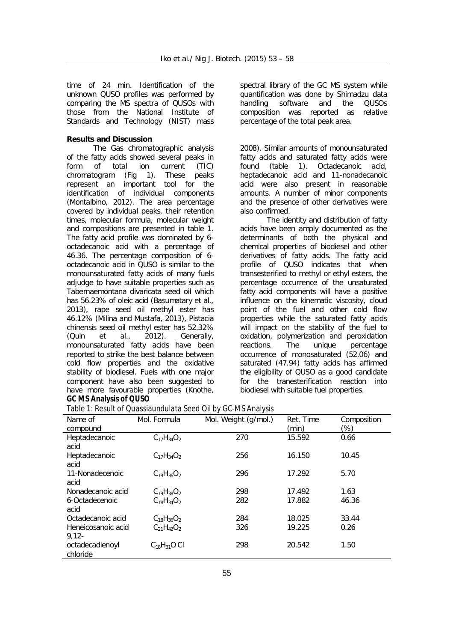time of 24 min. Identification of the unknown QUSO profiles was performed by comparing the MS spectra of QUSOs with those from the National Institute of Standards and Technology (NIST) mass

# **Results and Discussion**

The Gas chromatographic analysis of the fatty acids showed several peaks in form of total ion current (TIC) chromatogram (Fig 1). These peaks represent an important tool for the identification of individual components (Montalbino, 2012). The area percentage covered by individual peaks, their retention times, molecular formula, molecular weight and compositions are presented in table 1. The fatty acid profile was dominated by 6 octadecanoic acid with a percentage of 46.36. The percentage composition of 6 octadecanoic acid in QUSO is similar to the monounsaturated fatty acids of many fuels adjudge to have suitable properties such as *Tabernaemontana divaricata* seed oil which has 56.23% of oleic acid (Basumatary *et al*., 2013), rape seed oil methyl ester has 46.12% (Milina and Mustafa, 2013), *Pistacia chinensis* seed oil methyl ester has 52.32% (Quin *et al*., 2012). Generally, monounsaturated fatty acids have been reported to strike the best balance between cold flow properties and the oxidative stability of biodiesel. Fuels with one major component have also been suggested to have more favourable properties (Knothe, **GC MS Analysis of QUSO**

spectral library of the GC MS system while quantification was done by Shimadzu data handling software and the QUSOs composition was reported as relative percentage of the total peak area.

2008). Similar amounts of monounsaturated fatty acids and saturated fatty acids were found (table 1). Octadecanoic acid, heptadecanoic acid and 11-nonadecanoic acid were also present in reasonable amounts. A number of minor components and the presence of other derivatives were also confirmed.

The identity and distribution of fatty acids have been amply documented as the determinants of both the physical and chemical properties of biodiesel and other derivatives of fatty acids. The fatty acid profile of QUSO indicates that when transesterified to methyl or ethyl esters, the percentage occurrence of the unsaturated fatty acid components will have a positive influence on the kinematic viscosity, cloud point of the fuel and other cold flow properties while the saturated fatty acids will impact on the stability of the fuel to oxidation, polymerization and peroxidation reactions. The unique percentage occurrence of monosaturated (52.06) and saturated (47.94) fatty acids has affirmed the eligibility of QUSO as a good candidate for the tranesterification reaction into biodiesel with suitable fuel properties.

| Table 1: Result of <i>Quassiaundulata</i> Seed Oil by GC-MS Analysis |  |
|----------------------------------------------------------------------|--|
|----------------------------------------------------------------------|--|

| Name of            | Mol. Formula       | Mol. Weight (g/mol.) | Ret. Time | Composition |
|--------------------|--------------------|----------------------|-----------|-------------|
| compound           |                    |                      | (min)     | $(\%)$      |
| Heptadecanoic      | $C_{17}H_{34}O_2$  | 270                  | 15.592    | 0.66        |
| acid               |                    |                      |           |             |
| Heptadecanoic      | $C_{17}H_{34}O_2$  | 256                  | 16.150    | 10.45       |
| acid               |                    |                      |           |             |
| 11-Nonadecenoic    | $C_{19}H_{36}O_2$  | 296                  | 17.292    | 5.70        |
| acid               |                    |                      |           |             |
| Nonadecanoic acid  | $C_{19}H_{38}O_2$  | 298                  | 17.492    | 1.63        |
| 6-Octadecenoic     | $C_{18}H_{34}O_2$  | 282                  | 17.882    | 46.36       |
| acid               |                    |                      |           |             |
| Octadecanoic acid  | $C_{18}H_{36}O_2$  | 284                  | 18.025    | 33.44       |
| Heneicosanoic acid | $C_{21}H_{42}O_2$  | 326                  | 19.225    | 0.26        |
| $9.12 -$           |                    |                      |           |             |
| octadecadienoyl    | $C_{18}H_{31}O$ Cl | 298                  | 20.542    | 1.50        |
| chloride           |                    |                      |           |             |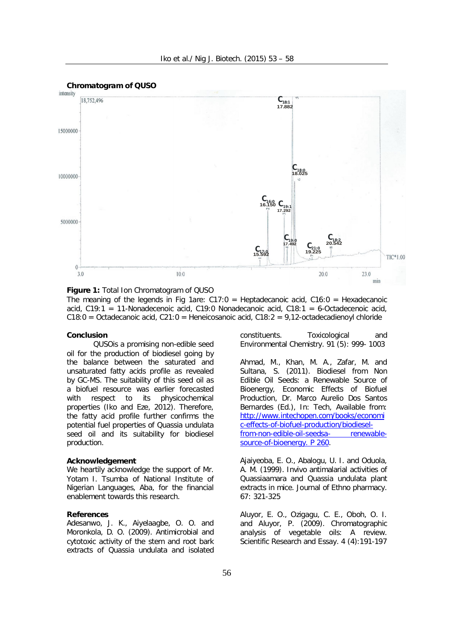

**Figure 1:** Total Ion Chromatogram of QUSO

The meaning of the legends in Fig 1are:  $C17:0 =$  Heptadecanoic acid,  $C16:0 =$  Hexadecanoic acid, C19:1 = 11-Nonadecenoic acid, C19:0 Nonadecanoic acid, C18:1 = 6-Octadecenoic acid,  $C18:0 = Octadecanoic acid, C21:0 = Henecosanoic acid, C18:2 = 9,12-octadecadienoyl chloride$ 

#### **Conclusion**

QUSOis a promising non-edible seed oil for the production of biodiesel going by the balance between the saturated and unsaturated fatty acids profile as revealed by GC-MS. The suitability of this seed oil as a biofuel resource was earlier forecasted with respect to its physicochemical properties (Iko and Eze, 2012). Therefore, the fatty acid profile further confirms the potential fuel properties of *Quassia undulata* seed oil and its suitability for biodiesel production.

### **Acknowledgement**

We heartily acknowledge the support of Mr. Yotam I. Tsumba of National Institute of Nigerian Languages, Aba, for the financial enablement towards this research.

### **References**

Adesanwo, J. K., Aiyelaagbe, O. O. and Moronkola, D. O. (2009). Antimicrobial and cytotoxic activity of the stem and root bark extracts of *Quassia undulata* and isolated

constituents. *Toxicological and Environmental Chemistry*. 91 (5): 999- 1003

Ahmad, M., Khan, M. A., Zafar, M. and Sultana, S. (2011). Biodiesel from Non Edible Oil Seeds: a Renewable Source of Bioenergy, Economic Effects of Biofuel Production, Dr. Marco Aurelio Dos Santos Bernardes (Ed.), In: Tech, Available from: http://www.intechopen.com/books/economi c-effects-of-biofuel-production/biodieselfrom-non-edible-oil-seedsa- renewablesource-of-bioenergy. P 260.

Ajaiyeoba, E. O., Abalogu, U. I. and Oduola, A. M. (1999). Invivo antimalarial activities of *Quassiaamara* and *Quassia undulata* plant extracts in mice. *Journal of Ethno pharmacy*. 67: 321-325

Aluyor, E. O., Ozigagu, C. E., Oboh, O. I. and Aluyor, P. (2009). Chromatographic analysis of vegetable oils: A review. *Scientific Research and Essay*. 4 (4):191-197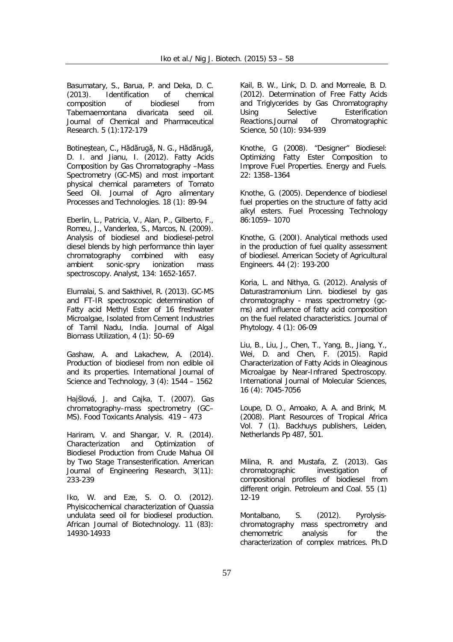Basumatary, S., Barua, P. and Deka, D. C. (2013). Identification of chemical composition of biodiesel from *Tabernaemontana divaricata* seed oil. *Journal of Chemical and Pharmaceutical Research*. 5 (1):172-179

Botineștean, C., Hădărugă, N. G., Hădărugă, D. I. and Jianu, I. (2012). Fatty Acids Composition by Gas Chromatography –Mass Spectrometry (GC-MS) and most important physical chemical parameters of Tomato Seed Oil. *Journal of Agro alimentary Processes and Technologies*. 18 (1): 89-94

Eberlin, L., Patricia, V., Alan, P., Gilberto, F., Romeu, J., Vanderlea, S., Marcos, N. (2009). Analysis of biodiesel and biodiesel-petrol diesel blends by high performance thin layer chromatography combined with easy ambient sonic-spry ionization mass spectroscopy. *Analyst*, 134: 1652-1657.

Elumalai, S. and Sakthivel, R. (2013). GC-MS and FT-IR spectroscopic determination of Fatty acid Methyl Ester of 16 freshwater Microalgae, Isolated from Cement Industries of Tamil Nadu, India. *Journal of Algal Biomass Utilization*, 4 (1): 50–69

Gashaw, A. and Lakachew, A. (2014). Production of biodiesel from non edible oil and its properties. *International Journal of Science and Technology*, 3 (4): 1544 – 1562

Hajšlová, J. and Cajka, T. (2007). Gas chromatography–mass spectrometry (GC– MS). *Food Toxicants Analysis*. 419 – 473

Hariram, V. and Shangar, V. R. (2014). Characterization and Optimization of Biodiesel Production from Crude Mahua Oil by Two Stage Transesterification. *American Journal of Engineering Research,* 3(11): 233-239

Iko, W. and Eze, S. O. O. (2012). Phyisicochemical characterization of *Qua*ssia *undulata* seed oil for biodiesel production. *African Journal of Biotechnology.* 11 (83): 14930-14933

Kail, B. W., Link, D. D. and Morreale, B. D. (2012). Determination of Free Fatty Acids and Triglycerides by Gas Chromatography<br>Using Selective Esterification Using Selective Esterification Reactions.*Journal of Chromatographic Science*, 50 (10): 934-939

Knothe, G (2008). "Designer" Biodiesel: Optimizing Fatty Ester Composition to Improve Fuel Properties. *Energy and Fuels*. 22: 1358–1364

Knothe, G. (2005). Dependence of biodiesel fuel properties on the structure of fatty acid alkyl esters. *Fuel Processing Technology* 86:1059– 1070

Knothe, G. (200I). Analytical methods used in the production of fuel quality assessment of biodiesel*. American Society of Agricultural Engineers*. 44 (2): 193-200

Koria, L. and Nithya, G. (2012). Analysis of *Daturastramonium* Linn. biodiesel by gas chromatography - mass spectrometry (gcms) and influence of fatty acid composition on the fuel related characteristics. *Journal of Phytology*. 4 (1): 06-09

Liu, B., Liu, J., Chen, T., Yang, B., Jiang, Y., Wei, D. and Chen, F. (2015). Rapid Characterization of Fatty Acids in Oleaginous Microalgae by Near-Infrared Spectroscopy. *International Journal of Molecular Sciences*, 16 (4): 7045-7056

Loupe, D. O., Amoako, A. A. and Brink, M. (2008). Plant Resources of Tropical Africa Vol. 7 (1). Backhuys publishers, Leiden, Netherlands Pp 487, 501.

Milina, R. and Mustafa, Z. (2013). Gas chromatographic investigation of compositional profiles of biodiesel from different origin. Petroleum and Coal. 55 (1) 12-19

Montalbano, S. (2012). Pyrolysischromatography mass spectrometry and chemometric analysis for the characterization of complex matrices. Ph.D